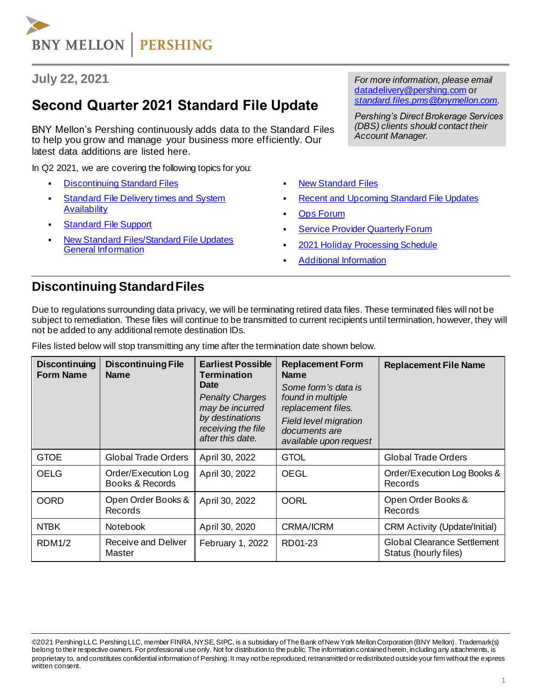# **BNY MELLON PERSHING**

#### **July 22, 2021**

# **Second Quarter 2021 Standard File Update**

BNY Mellon's Pershing continuously adds data to the Standard Files to help you grow and manage your business more efficiently. Our latest data additions are listed here.

In Q2 2021, we are covering the following topics for you:

- **[Discontinuing Standard Files](#page-0-0)**
- **Standard File Delivery times and System [Availability](#page-1-0)**
- **Standard [File Support](#page-1-1)**
- **New Standard Files/Standard File Updates** [General Information](#page-1-2)

*For more information, please email*  [datadelivery@pershing.com](mailto:datadelivery@pershing.com%20or) or *[standard.files.pms@bnymellon.com.](mailto:standard.files.pms@bnymellon.com)*

*Pershing's Direct Brokerage Services (DBS) clients should contact their Account Manager.*

- **[New Standard Files](#page-1-3)**
- **[Recent and Upcoming Standard](#page-2-0) File Updates**
- **Ops [Forum](#page-3-0)**
- **Service Provider Quarterly Forum**
- 2021 Holiday [Processing Schedule](#page-3-2)
- **[Additional Information](#page-3-3)**

#### <span id="page-0-0"></span>**Discontinuing Standard Files**

Due to regulations surrounding data privacy, we will be terminating retired data files. These terminated files will not be subject to remediation. These files will continue to be transmitted to current recipients until termination, however, they will not be added to any additional remote destination IDs.

| <b>Discontinuing</b><br><b>Form Name</b> | <b>Discontinuing File</b><br><b>Name</b> | <b>Earliest Possible</b><br><b>Termination</b><br><b>Date</b><br><b>Penalty Charges</b><br>may be incurred<br>by destinations<br>receiving the file<br>after this date. | <b>Replacement Form</b><br><b>Name</b><br>Some form's data is<br>found in multiple<br>replacement files.<br><b>Field level migration</b><br>documents are<br>available upon request | <b>Replacement File Name</b>                                |
|------------------------------------------|------------------------------------------|-------------------------------------------------------------------------------------------------------------------------------------------------------------------------|-------------------------------------------------------------------------------------------------------------------------------------------------------------------------------------|-------------------------------------------------------------|
| <b>GTOE</b>                              | <b>Global Trade Orders</b>               | April 30, 2022                                                                                                                                                          | <b>GTOL</b>                                                                                                                                                                         | <b>Global Trade Orders</b>                                  |
| <b>OELG</b>                              | Order/Execution Log<br>Books & Records   | April 30, 2022                                                                                                                                                          | <b>OEGL</b>                                                                                                                                                                         | Order/Execution Log Books &<br>Records                      |
| <b>OORD</b>                              | Open Order Books &<br><b>Records</b>     | April 30, 2022                                                                                                                                                          | <b>OORL</b>                                                                                                                                                                         | Open Order Books &<br>Records                               |
| <b>NTBK</b>                              | <b>Notebook</b>                          | April 30, 2020                                                                                                                                                          | <b>CRMA/ICRM</b>                                                                                                                                                                    | <b>CRM Activity (Update/Initial)</b>                        |
| <b>RDM1/2</b>                            | Receive and Deliver<br>Master            | February 1, 2022                                                                                                                                                        | RD01-23                                                                                                                                                                             | <b>Global Clearance Settlement</b><br>Status (hourly files) |

Files listed below will stop transmitting any time after the termination date shown below.

<sup>©2021</sup> Pershing LLC. Pershing LLC, member FINRA, NYSE, SIPC, is a subsidiary of The Bank of New York Mellon Corporation (BNY Mellon). Trademark(s) belong to their respective owners. For professional use only. Not for distribution to the public. The information contained herein, including any attachments, is proprietary to, and constitutes confidential information of Pershing. It may not be reproduced, retransmitted or redistributed outside your firm without the express written consent.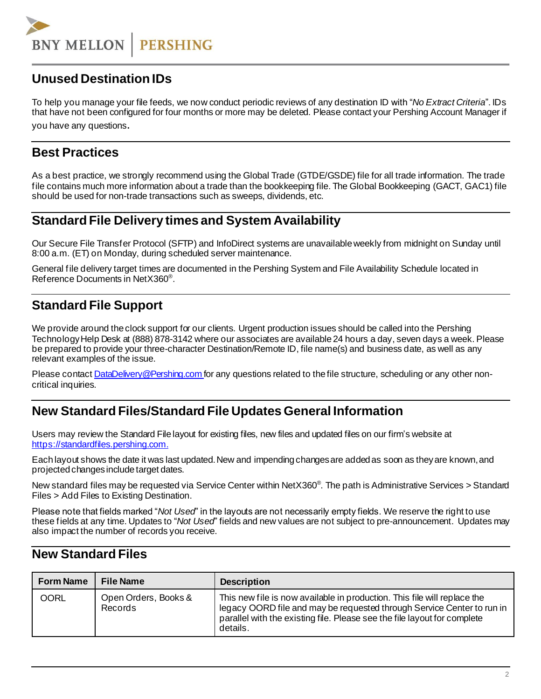**BNY MELLON PERSHING** 

### **Unused Destination IDs**

To help you manage your file feeds, we now conduct periodic reviews of any destination ID with "*No Extract Criteria*". IDs that have not been configured for four months or more may be deleted. Please contact your Pershing Account Manager if you have any questions.

#### **Best Practices**

<span id="page-1-0"></span>As a best practice, we strongly recommend using the Global Trade (GTDE/GSDE) file for all trade information. The trade file contains much more information about a trade than the bookkeeping file. The Global Bookkeeping (GACT, GAC1) file should be used for non-trade transactions such as sweeps, dividends, etc.

#### **Standard File Delivery times and System Availability**

Our Secure File Transfer Protocol (SFTP) and InfoDirect systems are unavailable weekly from midnight on Sunday until 8:00 a.m. (ET) on Monday, during scheduled server maintenance.

General file delivery target times are documented in the Pershing System and File Availability Schedule located in Reference Documents in NetX360® .

## <span id="page-1-1"></span>**Standard File Support**

We provide around the clock support for our clients. Urgent production issues should be called into the Pershing TechnologyHelp Desk at (888) 878-3142 where our associates are available 24 hours a day, seven days a week. Please be prepared to provide your three-character Destination/Remote ID, file name(s) and business date, as well as any relevant examples of the issue.

Please contact **DataDelivery@Pershing.com for any questions related to the file structure**, scheduling or any other noncritical inquiries.

#### <span id="page-1-2"></span>**New Standard Files/Standard File Updates General Information**

Users may review the Standard File layout for existing files, new files and updated files on our firm's website at [https://standardfiles.pershing.com](https://standardfiles.pershing.com/home/-/categories/275237?cat=275237).

Each layout shows the date it was last updated. New and impending changes are added as soon as they are known, and projected changes include target dates.

New standard files may be requested via Service Center within NetX360<sup>®</sup>. The path is Administrative Services > Standard Files > Add Files to Existing Destination.

Please note that fields marked "*Not Used*" in the layouts are not necessarily empty fields. We reserve the right to use these fields at any time. Updates to "*Not Used*" fields and new values are not subject to pre-announcement. Updates may also impact the number of records you receive.

#### <span id="page-1-3"></span>**New Standard Files**

| <b>Form Name</b> | <b>File Name</b>                | <b>Description</b>                                                                                                                                                                                                                         |
|------------------|---------------------------------|--------------------------------------------------------------------------------------------------------------------------------------------------------------------------------------------------------------------------------------------|
| <b>OORL</b>      | Open Orders, Books &<br>Records | This new file is now available in production. This file will replace the<br>legacy OORD file and may be requested through Service Center to run in<br>parallel with the existing file. Please see the file layout for complete<br>details. |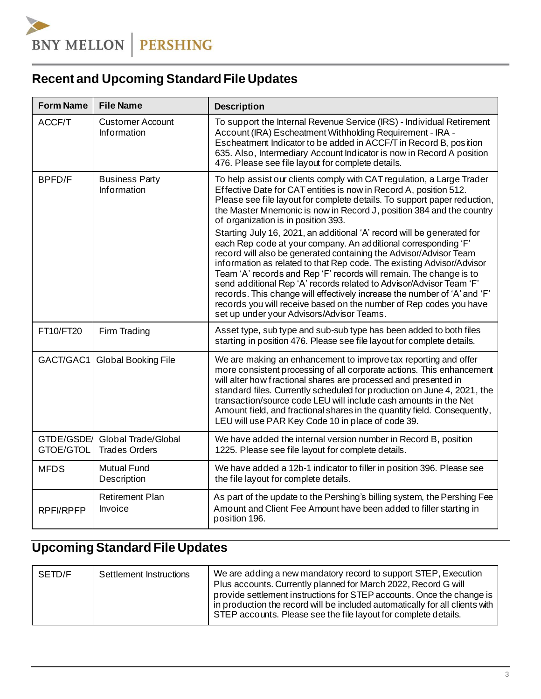# <span id="page-2-0"></span>**Recent and Upcoming Standard File Updates**

| <b>Form Name</b>              | <b>File Name</b>                              | <b>Description</b>                                                                                                                                                                                                                                                                                                                                                                                                                                                                                                                                                                                                                                                                                                                                                                                                                                                                                                                                                          |
|-------------------------------|-----------------------------------------------|-----------------------------------------------------------------------------------------------------------------------------------------------------------------------------------------------------------------------------------------------------------------------------------------------------------------------------------------------------------------------------------------------------------------------------------------------------------------------------------------------------------------------------------------------------------------------------------------------------------------------------------------------------------------------------------------------------------------------------------------------------------------------------------------------------------------------------------------------------------------------------------------------------------------------------------------------------------------------------|
| ACCF/T                        | <b>Customer Account</b><br><b>Information</b> | To support the Internal Revenue Service (IRS) - Individual Retirement<br>Account (IRA) Escheatment Withholding Requirement - IRA -<br>Escheatment Indicator to be added in ACCF/T in Record B, position<br>635. Also, Intermediary Account Indicator is now in Record A position<br>476. Please see file layout for complete details.                                                                                                                                                                                                                                                                                                                                                                                                                                                                                                                                                                                                                                       |
| BPFD/F                        | <b>Business Party</b><br><b>Information</b>   | To help assist our clients comply with CAT regulation, a Large Trader<br>Effective Date for CAT entities is now in Record A, position 512.<br>Please see file layout for complete details. To support paper reduction,<br>the Master Mnemonic is now in Record J, position 384 and the country<br>of organization is in position 393.<br>Starting July 16, 2021, an additional 'A' record will be generated for<br>each Rep code at your company. An additional corresponding 'F'<br>record will also be generated containing the Advisor/Advisor Team<br>information as related to that Rep code. The existing Advisor/Advisor<br>Team 'A' records and Rep 'F' records will remain. The change is to<br>send additional Rep 'A' records related to Advisor/Advisor Team 'F'<br>records. This change will effectively increase the number of 'A' and 'F'<br>records you will receive based on the number of Rep codes you have<br>set up under your Advisors/Advisor Teams. |
| FT10/FT20                     | Firm Trading                                  | Asset type, sub type and sub-sub type has been added to both files<br>starting in position 476. Please see file layout for complete details.                                                                                                                                                                                                                                                                                                                                                                                                                                                                                                                                                                                                                                                                                                                                                                                                                                |
| GACT/GAC1                     | <b>Global Booking File</b>                    | We are making an enhancement to improve tax reporting and offer<br>more consistent processing of all corporate actions. This enhancement<br>will alter how fractional shares are processed and presented in<br>standard files. Currently scheduled for production on June 4, 2021, the<br>transaction/source code LEU will include cash amounts in the Net<br>Amount field, and fractional shares in the quantity field. Consequently,<br>LEU will use PAR Key Code 10 in place of code 39.                                                                                                                                                                                                                                                                                                                                                                                                                                                                                 |
| <b>GTDE/GSDE</b><br>GTOE/GTOL | Global Trade/Global<br><b>Trades Orders</b>   | We have added the internal version number in Record B, position<br>1225. Please see file layout for complete details.                                                                                                                                                                                                                                                                                                                                                                                                                                                                                                                                                                                                                                                                                                                                                                                                                                                       |
| <b>MFDS</b>                   | <b>Mutual Fund</b><br>Description             | We have added a 12b-1 indicator to filler in position 396. Please see<br>the file layout for complete details.                                                                                                                                                                                                                                                                                                                                                                                                                                                                                                                                                                                                                                                                                                                                                                                                                                                              |
| RPFI/RPFP                     | <b>Retirement Plan</b><br>Invoice             | As part of the update to the Pershing's billing system, the Pershing Fee<br>Amount and Client Fee Amount have been added to filler starting in<br>position 196.                                                                                                                                                                                                                                                                                                                                                                                                                                                                                                                                                                                                                                                                                                                                                                                                             |

# **Upcoming Standard File Updates**

| SETD/F | Settlement Instructions | We are adding a new mandatory record to support STEP, Execution<br>Plus accounts. Currently planned for March 2022, Record G will<br>provide settlement instructions for STEP accounts. Once the change is<br>in production the record will be included automatically for all clients with<br>STEP accounts. Please see the file layout for complete details. |
|--------|-------------------------|---------------------------------------------------------------------------------------------------------------------------------------------------------------------------------------------------------------------------------------------------------------------------------------------------------------------------------------------------------------|
|        |                         |                                                                                                                                                                                                                                                                                                                                                               |